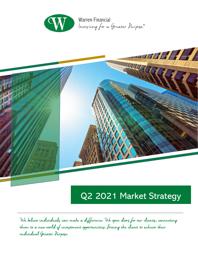



# Q2 2021 Market Strategy

We believe individuals can make a difference**.** We open doors for our clients**,** connecting them to a new world of investment opportunities**.** Freeing the client to achieve their individual Greater Purpose**.**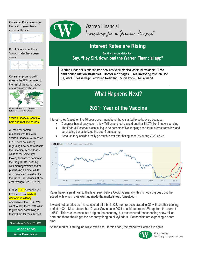Consumer Price levels over the past 16 years have consistently risen.

But US Consumer Price "growth" rates have been slower



Consumer price "growth" rates in the US compared to the rest of the world: (darker green means more inflation)



Above charts from OECD, "Main Ec Indicators - complete database"

#### Warren Financial wants to help our front-line heroes:

All medical doctoral residents who talk with Warren Financial will receive FREE debt counseling regarding how best to handle their medical school loans while at the same time looking forward to beginning their regular life, possibly with marriage/family and/or purchasing a home, while also balancing investing for the future. All services at no cost through Dec 31, 2021.

#### Please <mark>TELL</mark> someone you know who is a **medical** doctor in residency

anywhere in the USA. We want to help them. We want to give back something to thank them for their service.

7 Dowlin Forge Rd Exton PA 19341

610-363-2000 **WarrenFinancial.com** 



**Warren Financial** Investing for a Greater Purpose®

### **Interest Rates are Rising**

**Get the latest updates fast, Say, "Hey Siri, download the Warren Financial app"**

Warren Financial is offering free services to all medical doctoral residents: **Free debt consolidation strategies**. **Doctor mortgages**. **Free investing** through Dec 31, 2021. Please help: Let young Resident Doctors know. Tell a friend.

## **What Happens Next?**

### **2021: Year of the Vaccine**

Interest rates (based on the 10-year government bond) have started to go back up because:

- Congress has already spent a few Trillion and just passed another \$1.9Trillion in new spending
- The Federal Reserve is continuing to be accomodative keeping short term interest rates low and purchasing bonds to keep the debt from soaring
- Because they couldn't really go much lower after hitting near 0% during 2020 Covid



Rates have risen almost to the level seen before Covid. Generally, this is not a big deal, but the speed with which rates went up made the markets feel, "unsettled".

It would not surprise us if rates cooled off a bit in Q2, then re-accelerated in Q3 with another cooling period in Q4. Max rate on the 10-year Gov note in 2021 should be around 2% up from the current 1.65%. This rate increase is a drag on the economy, but rest assured that spending a few trillion here and there should get the economy firing on all cylindars. Economists are expecting a boom time.

So the market is struggling while rates rise. If rates cool, the market will catch fire again.



Warren Financial Investing for a Greater Purpose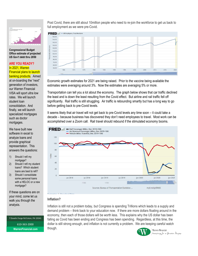

**Congressional Budget Office estimate of projected US Gov't debt thru 2050**

#### **ARE YOU READY?**

In 2021, Warren Financial plans to launch banking products. Aimed at on-boarding the "next" generation of investors, our Warren Financial VISA will sport ultra low rates. We will launch student loan consolidation. And finally, we will launch specialized mortgages such as doctor mortgages.

We have built new software in excel to analyze loans and provide graphical representation. This answers the questions:

- 1) Should I refi my mortgage?
- 2) Should I refi my student loans? Which student loans are best to refi?
- 3) Should I consolidate some personal loans with a HELOC or a new mortgage?

If these questions are on your mind, come let us walk you through the analysis.

7 Dowlin Forge Rd Exton, PA 19341 610-363-2000 **WarrenFinancial.com** 

Post Covid, there are still about 10million people who need to re-join the workforce to get us back to full employment as we were pre-Covid.



Economic growth estimates for 2021 are being raised. Prior to the vaccine being available the estimates were averaging around 3%. Now the estimates are averaging 5% or more.

Transportation can tell you a lot about the economy. The graph below shows that car traffic declined the least and is down the least resulting from the Covid effect. But airline and rail traffic fell off significantly. Rail traffic is still struggling. Air traffic is rebounding smartly but has a long way to go before getting back to pre-Covid levels.

It seems likely that air travel will not get back to pre-Covid levels any time soon – it could take a decade – because business has discovered they don't need employees to travel. Most work can be accomplished over a Zoom call. Rail travel should rebound if the stimulated economy booms.



#### **Inflation?**

Inflation is still not a problem today, but Congress is spending Trillions which leads to a supply and demand problem – think back to your education now. If there are more dollars floating around in the economy, then each of those dollars will be worth less. This explains why the US dollar has been falling as Covid has been ending and Congress has been spending. Regardless, at this time, the dollar is still strong enough, and inflation is not currently a problem. We are keeping careful watch though.Warren Financial



Investing for a Greater Purpose